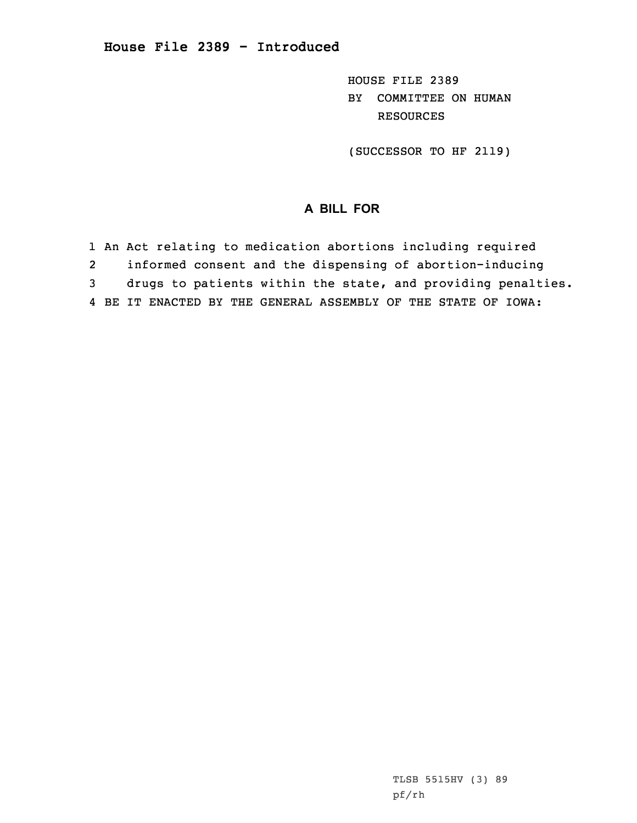HOUSE FILE 2389 BY COMMITTEE ON HUMAN RESOURCES

(SUCCESSOR TO HF 2119)

## **A BILL FOR**

1 An Act relating to medication abortions including required 2 informed consent and the dispensing of abortion-inducing 3 drugs to patients within the state, and providing penalties. 4 BE IT ENACTED BY THE GENERAL ASSEMBLY OF THE STATE OF IOWA:

> TLSB 5515HV (3) 89 pf/rh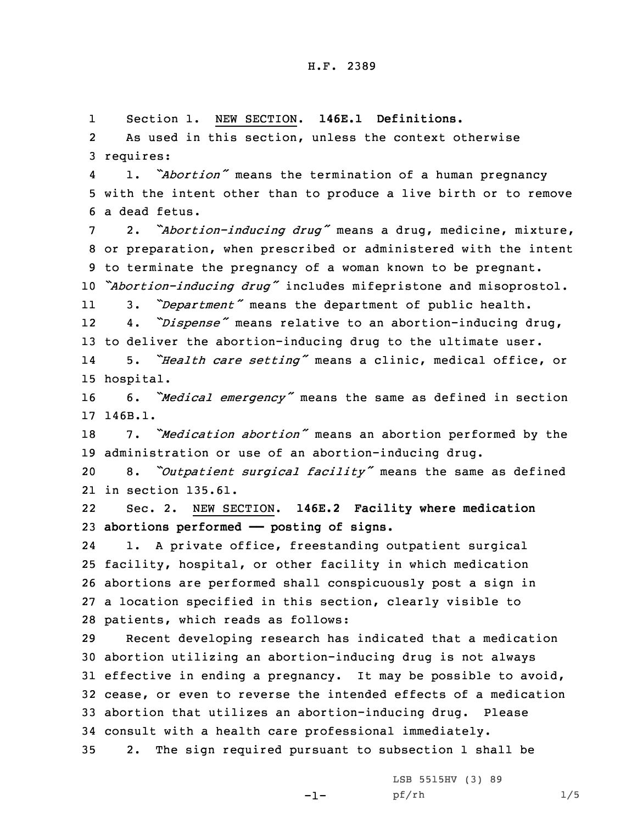1Section 1. NEW SECTION. **146E.1 Definitions.**

2 As used in this section, unless the context otherwise 3 requires:

4 1. *"Abortion"* means the termination of <sup>a</sup> human pregnancy 5 with the intent other than to produce <sup>a</sup> live birth or to remove 6 a dead fetus.

<sup>7</sup> 2. *"Abortion-inducing drug"* means <sup>a</sup> drug, medicine, mixture, 8 or preparation, when prescribed or administered with the intent 9 to terminate the pregnancy of <sup>a</sup> woman known to be pregnant.

<sup>10</sup> *"Abortion-inducing drug"* includes mifepristone and misoprostol.

113. *"Department"* means the department of public health.

12 4. *"Dispense"* means relative to an abortion-inducing drug, 13 to deliver the abortion-inducing drug to the ultimate user.

14 5. *"Health care setting"* means <sup>a</sup> clinic, medical office, or 15 hospital.

<sup>16</sup> 6. *"Medical emergency"* means the same as defined in section 17 146B.1.

<sup>18</sup> 7. *"Medication abortion"* means an abortion performed by the 19 administration or use of an abortion-inducing drug.

<sup>20</sup> 8. *"Outpatient surgical facility"* means the same as defined 21 in section 135.61.

22 Sec. 2. NEW SECTION. **146E.2 Facility where medication** 23 **abortions performed —— posting of signs.**

24 1. <sup>A</sup> private office, freestanding outpatient surgical facility, hospital, or other facility in which medication abortions are performed shall conspicuously post <sup>a</sup> sign in <sup>a</sup> location specified in this section, clearly visible to patients, which reads as follows:

 Recent developing research has indicated that <sup>a</sup> medication abortion utilizing an abortion-inducing drug is not always effective in ending <sup>a</sup> pregnancy. It may be possible to avoid, cease, or even to reverse the intended effects of <sup>a</sup> medication abortion that utilizes an abortion-inducing drug. Please consult with <sup>a</sup> health care professional immediately.

35 2. The sign required pursuant to subsection 1 shall be

-1-

LSB 5515HV (3) 89 pf/rh 1/5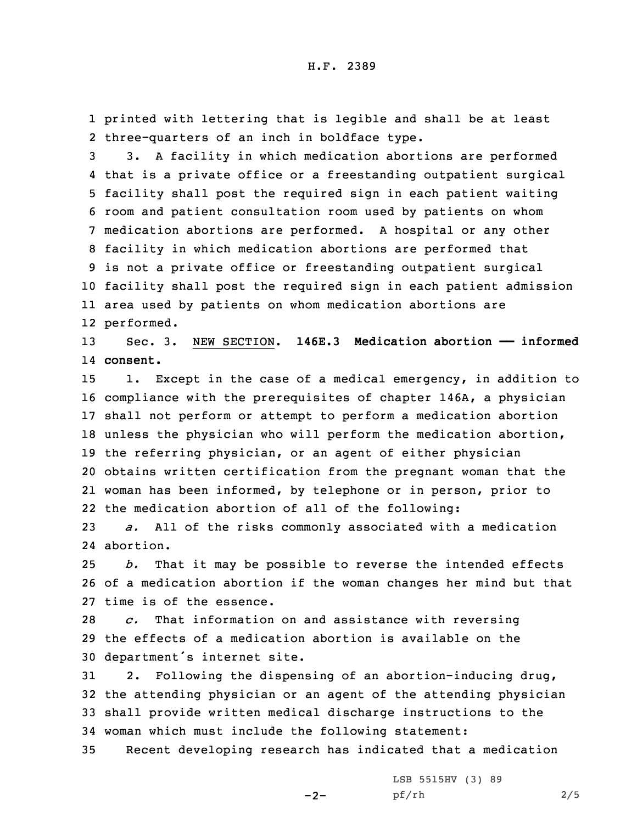1 printed with lettering that is legible and shall be at least 2 three-quarters of an inch in boldface type.

 3. <sup>A</sup> facility in which medication abortions are performed that is <sup>a</sup> private office or <sup>a</sup> freestanding outpatient surgical facility shall post the required sign in each patient waiting room and patient consultation room used by patients on whom medication abortions are performed. <sup>A</sup> hospital or any other facility in which medication abortions are performed that is not <sup>a</sup> private office or freestanding outpatient surgical facility shall post the required sign in each patient admission area used by patients on whom medication abortions are performed.

13 Sec. 3. NEW SECTION. **146E.3 Medication abortion —— informed** 14 **consent.**

 1. Except in the case of <sup>a</sup> medical emergency, in addition to compliance with the prerequisites of chapter 146A, <sup>a</sup> physician shall not perform or attempt to perform <sup>a</sup> medication abortion unless the physician who will perform the medication abortion, the referring physician, or an agent of either physician obtains written certification from the pregnant woman that the woman has been informed, by telephone or in person, prior to the medication abortion of all of the following:

23 *a.* All of the risks commonly associated with <sup>a</sup> medication 24 abortion.

25 *b.* That it may be possible to reverse the intended effects 26 of <sup>a</sup> medication abortion if the woman changes her mind but that 27 time is of the essence.

28 *c.* That information on and assistance with reversing 29 the effects of <sup>a</sup> medication abortion is available on the <sup>30</sup> department's internet site.

 2. Following the dispensing of an abortion-inducing drug, the attending physician or an agent of the attending physician shall provide written medical discharge instructions to the woman which must include the following statement:

35 Recent developing research has indicated that <sup>a</sup> medication

 $-2-$ 

LSB 5515HV (3) 89 pf/rh 2/5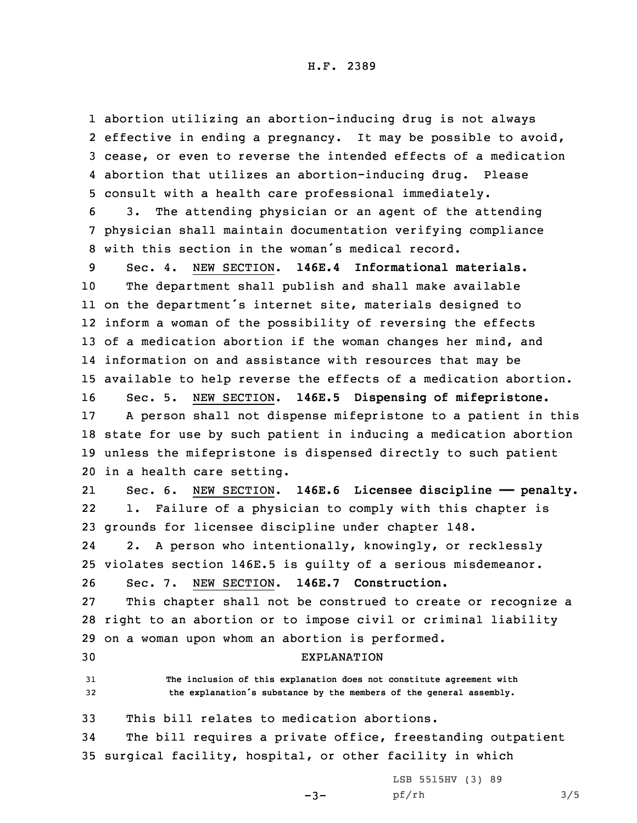## H.F. 2389

 abortion utilizing an abortion-inducing drug is not always 2 effective in ending a pregnancy. It may be possible to avoid, cease, or even to reverse the intended effects of <sup>a</sup> medication abortion that utilizes an abortion-inducing drug. Please consult with <sup>a</sup> health care professional immediately.

6 3. The attending physician or an agent of the attending 7 physician shall maintain documentation verifying compliance 8 with this section in the woman's medical record.

 Sec. 4. NEW SECTION. **146E.4 Informational materials.** The department shall publish and shall make available on the department's internet site, materials designed to inform <sup>a</sup> woman of the possibility of reversing the effects of <sup>a</sup> medication abortion if the woman changes her mind, and information on and assistance with resources that may be available to help reverse the effects of <sup>a</sup> medication abortion. Sec. 5. NEW SECTION. **146E.5 Dispensing of mifepristone.** <sup>A</sup> person shall not dispense mifepristone to <sup>a</sup> patient in this state for use by such patient in inducing <sup>a</sup> medication abortion unless the mifepristone is dispensed directly to such patient in <sup>a</sup> health care setting.

21 Sec. 6. NEW SECTION. **146E.6 Licensee discipline —— penalty.** 22 1. Failure of <sup>a</sup> physician to comply with this chapter is 23 grounds for licensee discipline under chapter 148.

24 2. <sup>A</sup> person who intentionally, knowingly, or recklessly 25 violates section 146E.5 is guilty of <sup>a</sup> serious misdemeanor. 26 Sec. 7. NEW SECTION. **146E.7 Construction.**

27 This chapter shall not be construed to create or recognize <sup>a</sup> 28 right to an abortion or to impose civil or criminal liability 29 on <sup>a</sup> woman upon whom an abortion is performed.

30 EXPLANATION

31 **The inclusion of this explanation does not constitute agreement with** <sup>32</sup> **the explanation's substance by the members of the general assembly.**

33 This bill relates to medication abortions.

34 The bill requires <sup>a</sup> private office, freestanding outpatient 35 surgical facility, hospital, or other facility in which

 $-3-$ 

LSB 5515HV (3) 89 pf/rh 3/5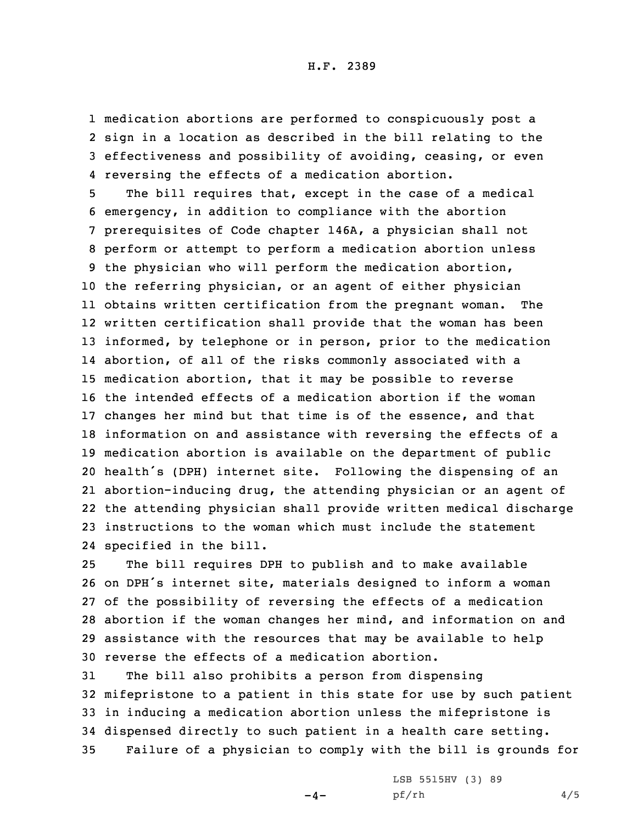medication abortions are performed to conspicuously post <sup>a</sup> sign in <sup>a</sup> location as described in the bill relating to the effectiveness and possibility of avoiding, ceasing, or even reversing the effects of <sup>a</sup> medication abortion.

 The bill requires that, except in the case of <sup>a</sup> medical emergency, in addition to compliance with the abortion prerequisites of Code chapter 146A, <sup>a</sup> physician shall not perform or attempt to perform <sup>a</sup> medication abortion unless the physician who will perform the medication abortion, the referring physician, or an agent of either physician obtains written certification from the pregnant woman. The written certification shall provide that the woman has been informed, by telephone or in person, prior to the medication abortion, of all of the risks commonly associated with <sup>a</sup> medication abortion, that it may be possible to reverse the intended effects of <sup>a</sup> medication abortion if the woman changes her mind but that time is of the essence, and that information on and assistance with reversing the effects of <sup>a</sup> medication abortion is available on the department of public health's (DPH) internet site. Following the dispensing of an abortion-inducing drug, the attending physician or an agent of the attending physician shall provide written medical discharge instructions to the woman which must include the statement specified in the bill.

 The bill requires DPH to publish and to make available on DPH's internet site, materials designed to inform <sup>a</sup> woman of the possibility of reversing the effects of <sup>a</sup> medication abortion if the woman changes her mind, and information on and assistance with the resources that may be available to help reverse the effects of <sup>a</sup> medication abortion.

 The bill also prohibits <sup>a</sup> person from dispensing mifepristone to <sup>a</sup> patient in this state for use by such patient in inducing <sup>a</sup> medication abortion unless the mifepristone is dispensed directly to such patient in <sup>a</sup> health care setting. Failure of <sup>a</sup> physician to comply with the bill is grounds for

 $-4-$ 

LSB 5515HV (3) 89 pf/rh 4/5